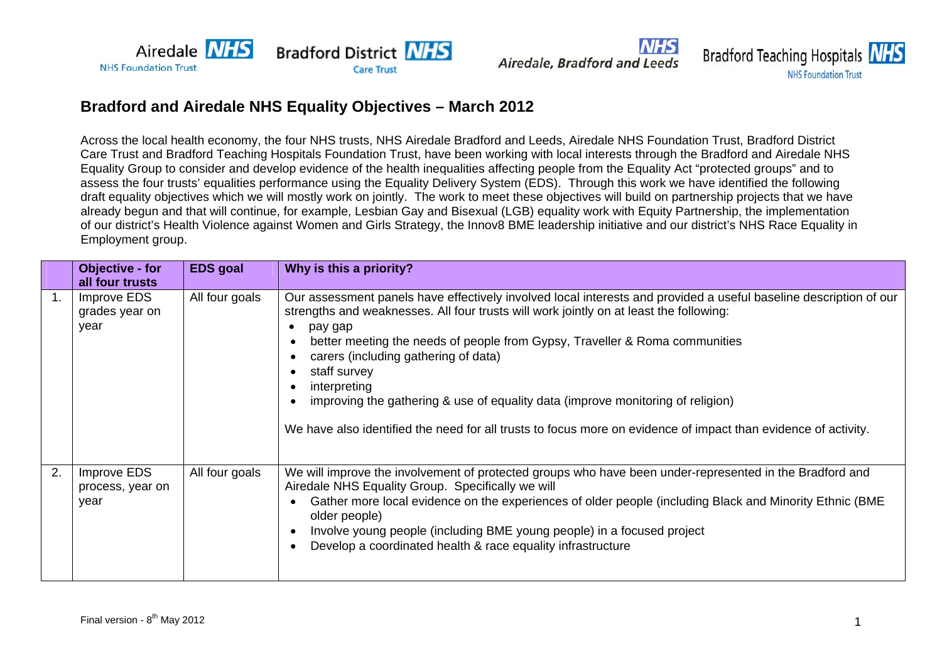

Airedale, Bradford and Leeds



## **Bradford and Airedale NHS Equality Objectives – March 2012**

Across the local health economy, the four NHS trusts, NHS Airedale Bradford and Leeds, Airedale NHS Foundation Trust, Bradford District Care Trust and Bradford Teaching Hospitals Foundation Trust, have been working with local interests through the Bradford and Airedale NHS Equality Group to consider and develop evidence of the health inequalities affecting people from the Equality Act "protected groups" and to assess the four trusts' equalities performance using the Equality Delivery System (EDS). Through this work we have identified the following draft equality objectives which we will mostly work on jointly. The work to meet these objectives will build on partnership projects that we have already begun and that will continue, for example, Lesbian Gay and Bisexual (LGB) equality work with Equity Partnership, the implementation of our district's Health Violence against Women and Girls Strategy, the Innov8 BME leadership initiative and our district's NHS Race Equality in Employment group.

|    | Objective - for<br>all four trusts      | <b>EDS</b> goal | Why is this a priority?                                                                                                                                                                                                                                                                                                                                                                                                                                                                                                                                                                         |
|----|-----------------------------------------|-----------------|-------------------------------------------------------------------------------------------------------------------------------------------------------------------------------------------------------------------------------------------------------------------------------------------------------------------------------------------------------------------------------------------------------------------------------------------------------------------------------------------------------------------------------------------------------------------------------------------------|
|    | Improve EDS<br>grades year on<br>year   | All four goals  | Our assessment panels have effectively involved local interests and provided a useful baseline description of our<br>strengths and weaknesses. All four trusts will work jointly on at least the following:<br>pay gap<br>$\bullet$<br>better meeting the needs of people from Gypsy, Traveller & Roma communities<br>carers (including gathering of data)<br>staff survey<br>interpreting<br>improving the gathering & use of equality data (improve monitoring of religion)<br>We have also identified the need for all trusts to focus more on evidence of impact than evidence of activity. |
| 2. | Improve EDS<br>process, year on<br>year | All four goals  | We will improve the involvement of protected groups who have been under-represented in the Bradford and<br>Airedale NHS Equality Group. Specifically we will<br>Gather more local evidence on the experiences of older people (including Black and Minority Ethnic (BME<br>older people)<br>Involve young people (including BME young people) in a focused project<br>Develop a coordinated health & race equality infrastructure                                                                                                                                                               |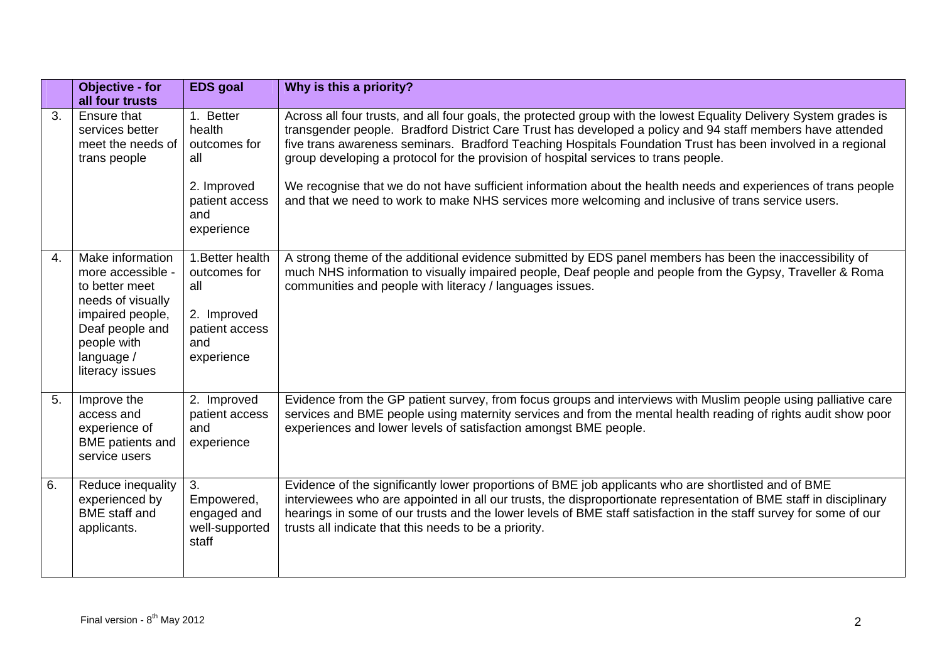|    | <b>Objective - for</b><br>all four trusts                                                                                                                           | <b>EDS</b> goal                                                                                  | Why is this a priority?                                                                                                                                                                                                                                                                                                                                                                                                                                                                                                                                                                                                                                        |
|----|---------------------------------------------------------------------------------------------------------------------------------------------------------------------|--------------------------------------------------------------------------------------------------|----------------------------------------------------------------------------------------------------------------------------------------------------------------------------------------------------------------------------------------------------------------------------------------------------------------------------------------------------------------------------------------------------------------------------------------------------------------------------------------------------------------------------------------------------------------------------------------------------------------------------------------------------------------|
| 3. | Ensure that<br>services better<br>meet the needs of<br>trans people                                                                                                 | 1. Better<br>health<br>outcomes for<br>all<br>2. Improved<br>patient access<br>and<br>experience | Across all four trusts, and all four goals, the protected group with the lowest Equality Delivery System grades is<br>transgender people. Bradford District Care Trust has developed a policy and 94 staff members have attended<br>five trans awareness seminars. Bradford Teaching Hospitals Foundation Trust has been involved in a regional<br>group developing a protocol for the provision of hospital services to trans people.<br>We recognise that we do not have sufficient information about the health needs and experiences of trans people<br>and that we need to work to make NHS services more welcoming and inclusive of trans service users. |
| 4. | Make information<br>more accessible -<br>to better meet<br>needs of visually<br>impaired people,<br>Deaf people and<br>people with<br>language /<br>literacy issues | 1. Better health<br>outcomes for<br>all<br>2. Improved<br>patient access<br>and<br>experience    | A strong theme of the additional evidence submitted by EDS panel members has been the inaccessibility of<br>much NHS information to visually impaired people, Deaf people and people from the Gypsy, Traveller & Roma<br>communities and people with literacy / languages issues.                                                                                                                                                                                                                                                                                                                                                                              |
| 5. | Improve the<br>access and<br>experience of<br><b>BME</b> patients and<br>service users                                                                              | 2. Improved<br>patient access<br>and<br>experience                                               | Evidence from the GP patient survey, from focus groups and interviews with Muslim people using palliative care<br>services and BME people using maternity services and from the mental health reading of rights audit show poor<br>experiences and lower levels of satisfaction amongst BME people.                                                                                                                                                                                                                                                                                                                                                            |
| 6. | Reduce inequality<br>experienced by<br><b>BME</b> staff and<br>applicants.                                                                                          | 3.<br>Empowered,<br>engaged and<br>well-supported<br>staff                                       | Evidence of the significantly lower proportions of BME job applicants who are shortlisted and of BME<br>interviewees who are appointed in all our trusts, the disproportionate representation of BME staff in disciplinary<br>hearings in some of our trusts and the lower levels of BME staff satisfaction in the staff survey for some of our<br>trusts all indicate that this needs to be a priority.                                                                                                                                                                                                                                                       |